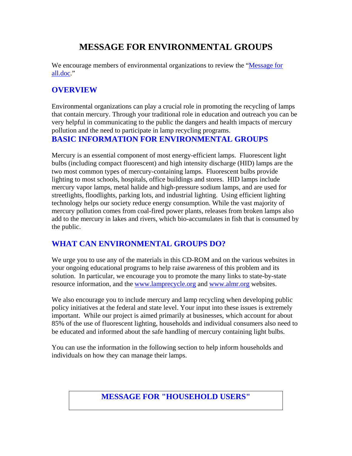# **MESSAGE FOR ENVIRONMENTAL GROUPS**

We encourage members of environmental organizations to review the "Message for all.doc."

## **OVERVIEW**

Environmental organizations can play a crucial role in promoting the recycling of lamps that contain mercury. Through your traditional role in education and outreach you can be very helpful in communicating to the public the dangers and health impacts of mercury pollution and the need to participate in lamp recycling programs.

## **BASIC INFORMATION FOR ENVIRONMENTAL GROUPS**

Mercury is an essential component of most energy-efficient lamps. Fluorescent light bulbs (including compact fluorescent) and high intensity discharge (HID) lamps are the two most common types of mercury-containing lamps. Fluorescent bulbs provide lighting to most schools, hospitals, office buildings and stores. HID lamps include mercury vapor lamps, metal halide and high-pressure sodium lamps, and are used for streetlights, floodlights, parking lots, and industrial lighting. Using efficient lighting technology helps our society reduce energy consumption. While the vast majority of mercury pollution comes from coal-fired power plants, releases from broken lamps also add to the mercury in lakes and rivers, which bio-accumulates in fish that is consumed by the public.

## **WHAT CAN ENVIRONMENTAL GROUPS DO?**

We urge you to use any of the materials in this CD-ROM and on the various websites in your ongoing educational programs to help raise awareness of this problem and its solution. In particular, we encourage you to promote the many links to state-by-state resource information, and the [www.lamprecycle.org](http://www.lamprecycle.org/) and [www.almr.org](http://www.almr.org/) websites.

We also encourage you to include mercury and lamp recycling when developing public policy initiatives at the federal and state level. Your input into these issues is extremely important. While our project is aimed primarily at businesses, which account for about 85% of the use of fluorescent lighting, households and individual consumers also need to be educated and informed about the safe handling of mercury containing light bulbs.

You can use the information in the following section to help inform households and individuals on how they can manage their lamps.

## **MESSAGE FOR "HOUSEHOLD USERS"**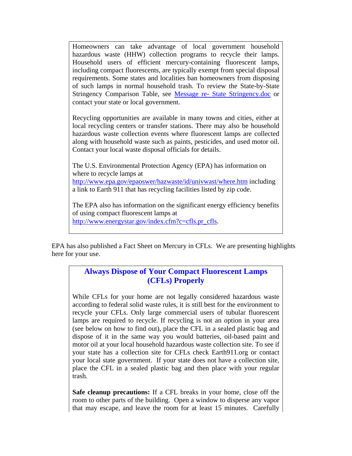Homeowners can take advantage of local government household hazardous waste (HHW) collection programs to recycle their lamps. Household users of efficient mercury-containing fluorescent lamps, including compact fluorescents, are typically exempt from special disposal requirements. Some states and localities ban homeowners from disposing of such lamps in normal household trash. To review the State-by-State Stringency Comparison Table, see Message re- State Stringency.doc or contact your state or local government.

Recycling opportunities are available in many towns and cities, either at local recycling centers or transfer stations. There may also be household hazardous waste collection events where fluorescent lamps are collected along with household waste such as paints, pesticides, and used motor oil. Contact your local waste disposal officials for details.

The U.S. Environmental Protection Agency (EPA) has information on where to recycle lamps at <http://www.epa.gov/epaoswer/hazwaste/id/univwast/where.htm>including a link to Earth 911 that has recycling facilities listed by zip code.

The EPA also has information on the significant energy efficiency benefits of using compact fluorescent lamps at [http://www.energystar.gov/index.cfm?c=cfls.pr\\_cfls](http://www.energystar.gov/index.cfm?c=cfls.pr_cfls).

EPA has also published a Fact Sheet on Mercury in CFLs. We are presenting highlights here for your use.

### **Always Dispose of Your Compact Fluorescent Lamps (CFLs) Properly**

While CFLs for your home are not legally considered hazardous waste according to federal solid waste rules, it is still best for the environment to recycle your CFLs. Only large commercial users of tubular fluorescent lamps are required to recycle. If recycling is not an option in your area (see below on how to find out), place the CFL in a sealed plastic bag and dispose of it in the same way you would batteries, oil-based paint and motor oil at your local household hazardous waste collection site. To see if your state has a collection site for CFLs check Earth911.org or contact your local state government. If your state does not have a collection site, place the CFL in a sealed plastic bag and then place with your regular trash.

**Safe cleanup precautions:** If a CFL breaks in your home, close off the room to other parts of the building. Open a window to disperse any vapor that may escape, and leave the room for at least 15 minutes. Carefully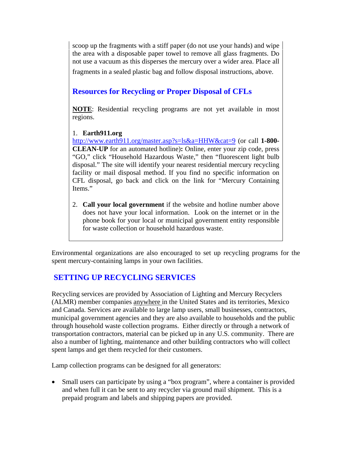scoop up the fragments with a stiff paper (do not use your hands) and wipe the area with a disposable paper towel to remove all glass fragments. Do not use a vacuum as this disperses the mercury over a wider area. Place all fragments in a sealed plastic bag and follow disposal instructions, above.**L** 

## **Resources for Recycling or Proper Disposal of CFLs**

**NOTE**: Residential recycling programs are not yet available in most regions.

#### 1. **Earth911.org**

<http://www.earth911.org/master.asp?s=ls&a=HHW&cat=9>(or call **1-800- CLEAN-UP** for an automated hotline)**:** Online, enter your zip code, press "GO," click "Household Hazardous Waste," then "fluorescent light bulb disposal." The site will identify your nearest residential mercury recycling facility or mail disposal method. If you find no specific information on CFL disposal, go back and click on the link for "Mercury Containing Items."

2. **Call your local government** if the website and hotline number above does not have your local information. Look on the internet or in the phone book for your local or municipal government entity responsible for waste collection or household hazardous waste.

Environmental organizations are also encouraged to set up recycling programs for the spent mercury-containing lamps in your own facilities.

## **SETTING UP RECYCLING SERVICES**

Recycling services are provided by Association of Lighting and Mercury Recyclers (ALMR) member companies anywhere in the United States and its territories, Mexico and Canada. Services are available to large lamp users, small businesses, contractors, municipal government agencies and they are also available to households and the public through household waste collection programs. Either directly or through a network of transportation contractors, material can be picked up in any U.S. community. There are also a number of lighting, maintenance and other building contractors who will collect spent lamps and get them recycled for their customers.

Lamp collection programs can be designed for all generators:

 Small users can participate by using a "box program", where a container is provided and when full it can be sent to any recycler via ground mail shipment. This is a prepaid program and labels and shipping papers are provided.